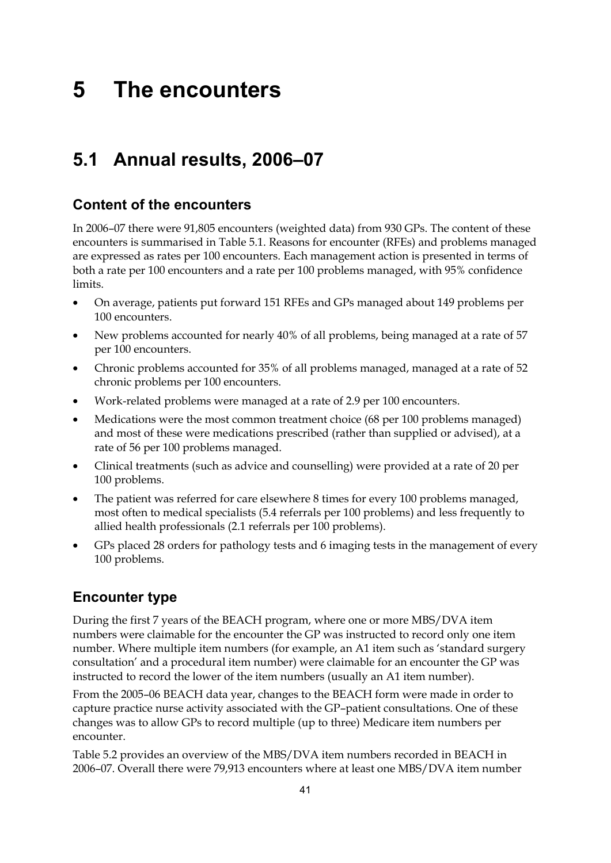# **5 The encounters**

# **5.1 Annual results, 2006–07**

## **Content of the encounters**

In 2006–07 there were 91,805 encounters (weighted data) from 930 GPs. The content of these encounters is summarised in Table 5.1. Reasons for encounter (RFEs) and problems managed are expressed as rates per 100 encounters. Each management action is presented in terms of both a rate per 100 encounters and a rate per 100 problems managed, with 95% confidence limits.

- On average, patients put forward 151 RFEs and GPs managed about 149 problems per 100 encounters.
- New problems accounted for nearly 40% of all problems, being managed at a rate of 57 per 100 encounters.
- Chronic problems accounted for 35% of all problems managed, managed at a rate of 52 chronic problems per 100 encounters.
- Work-related problems were managed at a rate of 2.9 per 100 encounters.
- Medications were the most common treatment choice (68 per 100 problems managed) and most of these were medications prescribed (rather than supplied or advised), at a rate of 56 per 100 problems managed.
- Clinical treatments (such as advice and counselling) were provided at a rate of 20 per 100 problems.
- The patient was referred for care elsewhere 8 times for every 100 problems managed, most often to medical specialists (5.4 referrals per 100 problems) and less frequently to allied health professionals (2.1 referrals per 100 problems).
- GPs placed 28 orders for pathology tests and 6 imaging tests in the management of every 100 problems.

# **Encounter type**

During the first 7 years of the BEACH program, where one or more MBS/DVA item numbers were claimable for the encounter the GP was instructed to record only one item number. Where multiple item numbers (for example, an A1 item such as 'standard surgery consultation' and a procedural item number) were claimable for an encounter the GP was instructed to record the lower of the item numbers (usually an A1 item number).

From the 2005–06 BEACH data year, changes to the BEACH form were made in order to capture practice nurse activity associated with the GP–patient consultations. One of these changes was to allow GPs to record multiple (up to three) Medicare item numbers per encounter.

Table 5.2 provides an overview of the MBS/DVA item numbers recorded in BEACH in 2006–07. Overall there were 79,913 encounters where at least one MBS/DVA item number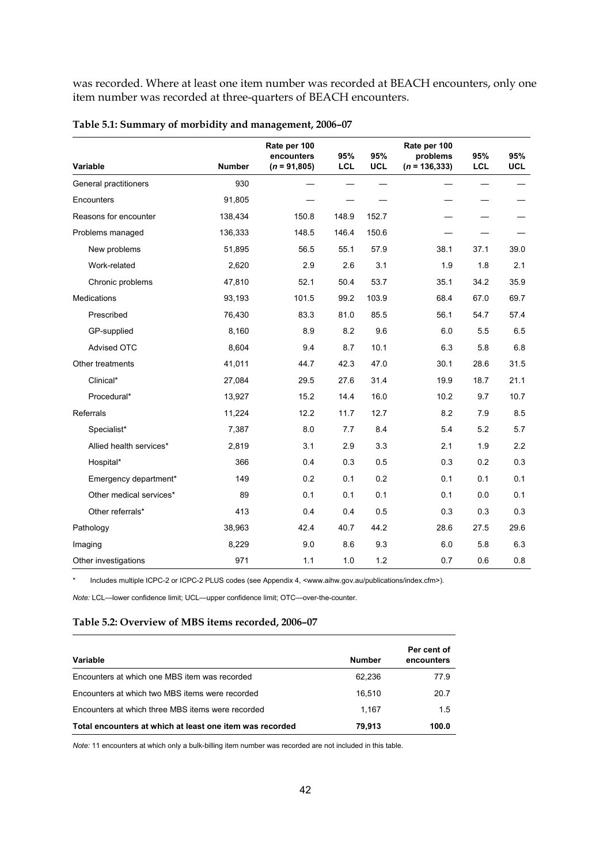was recorded. Where at least one item number was recorded at BEACH encounters, only one item number was recorded at three-quarters of BEACH encounters.

| Variable                | <b>Number</b> | Rate per 100<br>encounters<br>$(n = 91,805)$ | 95%<br><b>LCL</b> | 95%<br><b>UCL</b> | Rate per 100<br>problems<br>$(n = 136, 333)$ | 95%<br><b>LCL</b> | 95%<br><b>UCL</b> |
|-------------------------|---------------|----------------------------------------------|-------------------|-------------------|----------------------------------------------|-------------------|-------------------|
| General practitioners   | 930           |                                              |                   |                   |                                              |                   |                   |
| Encounters              | 91,805        |                                              |                   |                   |                                              |                   |                   |
| Reasons for encounter   | 138,434       | 150.8                                        | 148.9             | 152.7             |                                              |                   |                   |
| Problems managed        | 136,333       | 148.5                                        | 146.4             | 150.6             |                                              |                   |                   |
| New problems            | 51,895        | 56.5                                         | 55.1              | 57.9              | 38.1                                         | 37.1              | 39.0              |
| Work-related            | 2,620         | 2.9                                          | 2.6               | 3.1               | 1.9                                          | 1.8               | 2.1               |
| Chronic problems        | 47,810        | 52.1                                         | 50.4              | 53.7              | 35.1                                         | 34.2              | 35.9              |
| Medications             | 93,193        | 101.5                                        | 99.2              | 103.9             | 68.4                                         | 67.0              | 69.7              |
| Prescribed              | 76,430        | 83.3                                         | 81.0              | 85.5              | 56.1                                         | 54.7              | 57.4              |
| GP-supplied             | 8,160         | 8.9                                          | 8.2               | 9.6               | 6.0                                          | 5.5               | 6.5               |
| Advised OTC             | 8,604         | 9.4                                          | 8.7               | 10.1              | 6.3                                          | 5.8               | 6.8               |
| Other treatments        | 41,011        | 44.7                                         | 42.3              | 47.0              | 30.1                                         | 28.6              | 31.5              |
| Clinical*               | 27,084        | 29.5                                         | 27.6              | 31.4              | 19.9                                         | 18.7              | 21.1              |
| Procedural*             | 13,927        | 15.2                                         | 14.4              | 16.0              | 10.2                                         | 9.7               | 10.7              |
| Referrals               | 11,224        | 12.2                                         | 11.7              | 12.7              | 8.2                                          | 7.9               | 8.5               |
| Specialist*             | 7,387         | 8.0                                          | 7.7               | 8.4               | 5.4                                          | 5.2               | 5.7               |
| Allied health services* | 2,819         | 3.1                                          | 2.9               | 3.3               | 2.1                                          | 1.9               | 2.2               |
| Hospital*               | 366           | 0.4                                          | 0.3               | 0.5               | 0.3                                          | 0.2               | 0.3               |
| Emergency department*   | 149           | 0.2                                          | 0.1               | 0.2               | 0.1                                          | 0.1               | 0.1               |
| Other medical services* | 89            | 0.1                                          | 0.1               | 0.1               | 0.1                                          | 0.0               | 0.1               |
| Other referrals*        | 413           | 0.4                                          | 0.4               | 0.5               | 0.3                                          | 0.3               | 0.3               |
| Pathology               | 38,963        | 42.4                                         | 40.7              | 44.2              | 28.6                                         | 27.5              | 29.6              |
| Imaging                 | 8,229         | 9.0                                          | 8.6               | 9.3               | 6.0                                          | 5.8               | 6.3               |
| Other investigations    | 971           | 1.1                                          | 1.0               | 1.2               | 0.7                                          | 0.6               | 0.8               |

| Table 5.1: Summary of morbidity and management, 2006-07 |  |
|---------------------------------------------------------|--|
|---------------------------------------------------------|--|

\* Includes multiple ICPC-2 or ICPC-2 PLUS codes (see Appendix 4, <www.aihw.gov.au/publications/index.cfm>).

*Note:* LCL—lower confidence limit; UCL—upper confidence limit; OTC—over-the-counter.

### **Table 5.2: Overview of MBS items recorded, 2006–07**

| Variable                                                 | <b>Number</b> | Per cent of<br>encounters |
|----------------------------------------------------------|---------------|---------------------------|
| Encounters at which one MBS item was recorded            | 62.236        | 77.9                      |
| Encounters at which two MBS items were recorded          | 16.510        | 20.7                      |
| Encounters at which three MBS items were recorded        | 1.167         | 1.5                       |
| Total encounters at which at least one item was recorded | 79.913        | 100.0                     |

*Note:* 11 encounters at which only a bulk-billing item number was recorded are not included in this table.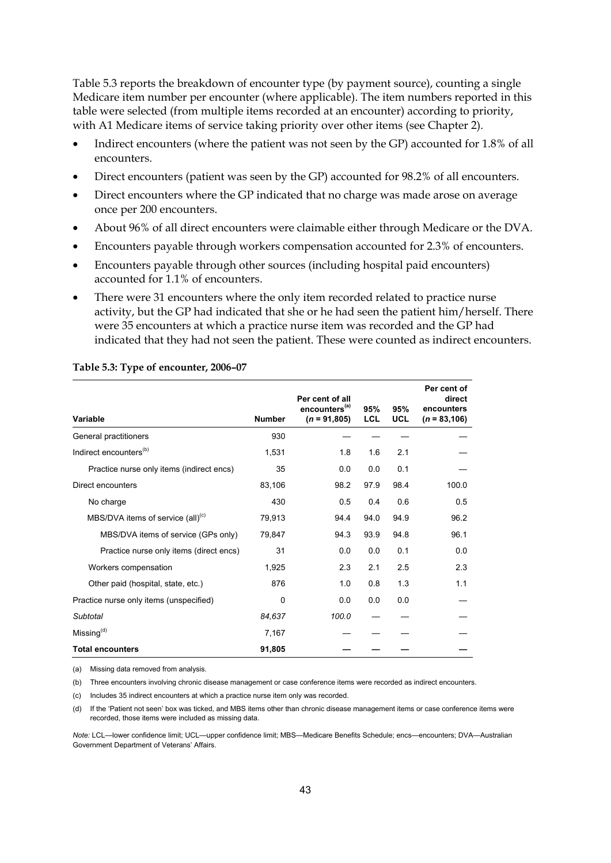Table 5.3 reports the breakdown of encounter type (by payment source), counting a single Medicare item number per encounter (where applicable). The item numbers reported in this table were selected (from multiple items recorded at an encounter) according to priority, with A1 Medicare items of service taking priority over other items (see Chapter 2).

- Indirect encounters (where the patient was not seen by the GP) accounted for 1.8% of all encounters.
- Direct encounters (patient was seen by the GP) accounted for 98.2% of all encounters.
- Direct encounters where the GP indicated that no charge was made arose on average once per 200 encounters.
- About 96% of all direct encounters were claimable either through Medicare or the DVA.
- Encounters payable through workers compensation accounted for 2.3% of encounters.
- Encounters payable through other sources (including hospital paid encounters) accounted for 1.1% of encounters.
- There were 31 encounters where the only item recorded related to practice nurse activity, but the GP had indicated that she or he had seen the patient him/herself. There were 35 encounters at which a practice nurse item was recorded and the GP had indicated that they had not seen the patient. These were counted as indirect encounters.

| Variable                                      | <b>Number</b> | Per cent of all<br>encounters <sup>(a)</sup><br>$(n = 91,805)$ | 95%<br><b>LCL</b> | 95%<br><b>UCL</b> | Per cent of<br>direct<br>encounters<br>$(n = 83, 106)$ |
|-----------------------------------------------|---------------|----------------------------------------------------------------|-------------------|-------------------|--------------------------------------------------------|
| General practitioners                         | 930           |                                                                |                   |                   |                                                        |
| Indirect encounters <sup>(b)</sup>            | 1,531         | 1.8                                                            | 1.6               | 2.1               |                                                        |
| Practice nurse only items (indirect encs)     | 35            | 0.0                                                            | 0.0               | 0.1               |                                                        |
| Direct encounters                             | 83,106        | 98.2                                                           | 97.9              | 98.4              | 100.0                                                  |
| No charge                                     | 430           | 0.5                                                            | 0.4               | 0.6               | 0.5                                                    |
| MBS/DVA items of service (all) <sup>(c)</sup> | 79,913        | 94.4                                                           | 94.0              | 94.9              | 96.2                                                   |
| MBS/DVA items of service (GPs only)           | 79,847        | 94.3                                                           | 93.9              | 94.8              | 96.1                                                   |
| Practice nurse only items (direct encs)       | 31            | 0.0                                                            | 0.0               | 0.1               | 0.0                                                    |
| Workers compensation                          | 1,925         | 2.3                                                            | 2.1               | 2.5               | 2.3                                                    |
| Other paid (hospital, state, etc.)            | 876           | 1.0                                                            | 0.8               | 1.3               | 1.1                                                    |
| Practice nurse only items (unspecified)       | 0             | 0.0                                                            | 0.0               | 0.0               |                                                        |
| Subtotal                                      | 84,637        | 100.0                                                          |                   |                   |                                                        |
| Missing <sup>(d)</sup>                        | 7,167         |                                                                |                   |                   |                                                        |
| <b>Total encounters</b>                       | 91,805        |                                                                |                   |                   |                                                        |

#### **Table 5.3: Type of encounter, 2006–07**

(a) Missing data removed from analysis.

(b) Three encounters involving chronic disease management or case conference items were recorded as indirect encounters.

(c) Includes 35 indirect encounters at which a practice nurse item only was recorded.

(d) If the 'Patient not seen' box was ticked, and MBS items other than chronic disease management items or case conference items were recorded, those items were included as missing data.

*Note:* LCL—lower confidence limit; UCL—upper confidence limit; MBS—Medicare Benefits Schedule; encs—encounters; DVA—Australian Government Department of Veterans' Affairs.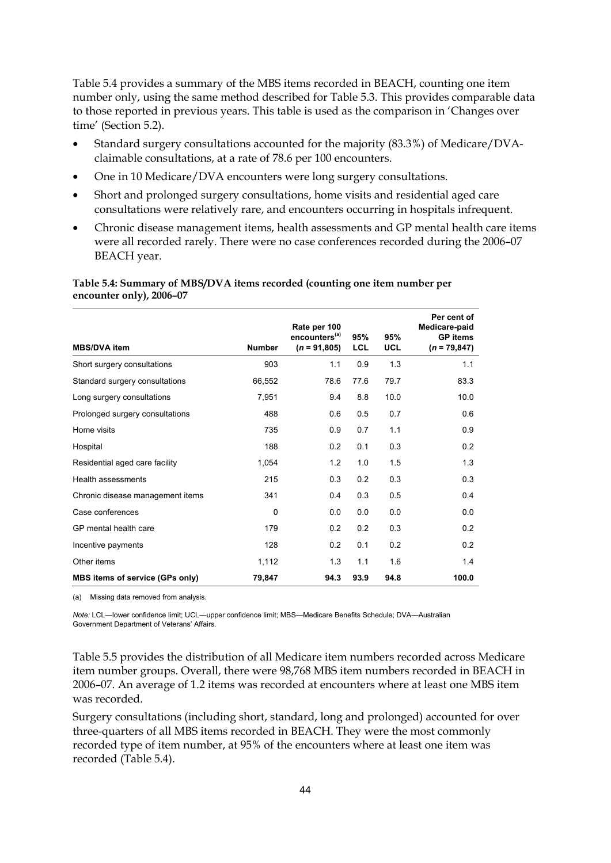Table 5.4 provides a summary of the MBS items recorded in BEACH, counting one item number only, using the same method described for Table 5.3. This provides comparable data to those reported in previous years. This table is used as the comparison in 'Changes over time' (Section 5.2).

- Standard surgery consultations accounted for the majority (83.3%) of Medicare/DVAclaimable consultations, at a rate of 78.6 per 100 encounters.
- One in 10 Medicare/DVA encounters were long surgery consultations.
- Short and prolonged surgery consultations, home visits and residential aged care consultations were relatively rare, and encounters occurring in hospitals infrequent.
- Chronic disease management items, health assessments and GP mental health care items were all recorded rarely. There were no case conferences recorded during the 2006–07 BEACH year.

**Table 5.4: Summary of MBS/DVA items recorded (counting one item number per encounter only), 2006–07** 

| <b>MBS/DVA item</b>                    | <b>Number</b> | Rate per 100<br>encounters <sup>(a)</sup><br>$(n = 91,805)$ | 95%<br><b>LCL</b> | 95%<br><b>UCL</b> | Per cent of<br>Medicare-paid<br><b>GP</b> items<br>$(n = 79, 847)$ |
|----------------------------------------|---------------|-------------------------------------------------------------|-------------------|-------------------|--------------------------------------------------------------------|
| Short surgery consultations            | 903           | 1.1                                                         | 0.9               | 1.3               | 1.1                                                                |
| Standard surgery consultations         | 66,552        | 78.6                                                        | 77.6              | 79.7              | 83.3                                                               |
| Long surgery consultations             | 7,951         | 9.4                                                         | 8.8               | 10.0              | 10.0                                                               |
| Prolonged surgery consultations        | 488           | 0.6                                                         | 0.5               | 0.7               | 0.6                                                                |
| Home visits                            | 735           | 0.9                                                         | 0.7               | 1.1               | 0.9                                                                |
| Hospital                               | 188           | 0.2                                                         | 0.1               | 0.3               | 0.2                                                                |
| Residential aged care facility         | 1,054         | 1.2                                                         | 1.0               | 1.5               | 1.3                                                                |
| Health assessments                     | 215           | 0.3                                                         | 0.2               | 0.3               | 0.3                                                                |
| Chronic disease management items       | 341           | 0.4                                                         | 0.3               | 0.5               | 0.4                                                                |
| Case conferences                       | $\Omega$      | 0.0                                                         | 0.0               | 0.0               | 0.0                                                                |
| GP mental health care                  | 179           | 0.2                                                         | 0.2               | 0.3               | 0.2                                                                |
| Incentive payments                     | 128           | 0.2                                                         | 0.1               | 0.2               | 0.2                                                                |
| Other items                            | 1,112         | 1.3                                                         | 1.1               | 1.6               | 1.4                                                                |
| <b>MBS items of service (GPs only)</b> | 79,847        | 94.3                                                        | 93.9              | 94.8              | 100.0                                                              |

(a) Missing data removed from analysis.

*Note:* LCL—lower confidence limit; UCL—upper confidence limit; MBS—Medicare Benefits Schedule; DVA—Australian Government Department of Veterans' Affairs.

Table 5.5 provides the distribution of all Medicare item numbers recorded across Medicare item number groups. Overall, there were 98,768 MBS item numbers recorded in BEACH in 2006–07. An average of 1.2 items was recorded at encounters where at least one MBS item was recorded.

Surgery consultations (including short, standard, long and prolonged) accounted for over three-quarters of all MBS items recorded in BEACH. They were the most commonly recorded type of item number, at 95% of the encounters where at least one item was recorded (Table 5.4).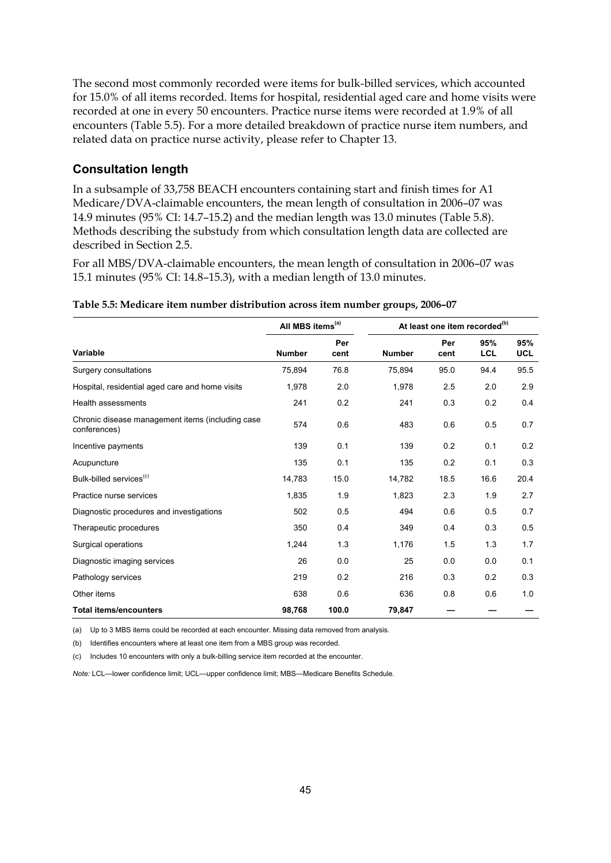The second most commonly recorded were items for bulk-billed services, which accounted for 15.0% of all items recorded. Items for hospital, residential aged care and home visits were recorded at one in every 50 encounters. Practice nurse items were recorded at 1.9% of all encounters (Table 5.5). For a more detailed breakdown of practice nurse item numbers, and related data on practice nurse activity, please refer to Chapter 13.

### **Consultation length**

In a subsample of 33,758 BEACH encounters containing start and finish times for A1 Medicare/DVA-claimable encounters, the mean length of consultation in 2006–07 was 14.9 minutes (95% CI: 14.7–15.2) and the median length was 13.0 minutes (Table 5.8). Methods describing the substudy from which consultation length data are collected are described in Section 2.5.

For all MBS/DVA-claimable encounters, the mean length of consultation in 2006–07 was 15.1 minutes (95% CI: 14.8–15.3), with a median length of 13.0 minutes.

|                                                                  | All MBS items <sup>(a)</sup> |             | At least one item recorded <sup>(b)</sup> |             |            |                   |  |
|------------------------------------------------------------------|------------------------------|-------------|-------------------------------------------|-------------|------------|-------------------|--|
| <b>Variable</b>                                                  | <b>Number</b>                | Per<br>cent | <b>Number</b>                             | Per<br>cent | 95%<br>LCL | 95%<br><b>UCL</b> |  |
| Surgery consultations                                            | 75,894                       | 76.8        | 75,894                                    | 95.0        | 94.4       | 95.5              |  |
| Hospital, residential aged care and home visits                  | 1,978                        | 2.0         | 1,978                                     | 2.5         | 2.0        | 2.9               |  |
| <b>Health assessments</b>                                        | 241                          | 0.2         | 241                                       | 0.3         | 0.2        | 0.4               |  |
| Chronic disease management items (including case<br>conferences) | 574                          | 0.6         | 483                                       | 0.6         | 0.5        | 0.7               |  |
| Incentive payments                                               | 139                          | 0.1         | 139                                       | 0.2         | 0.1        | 0.2               |  |
| Acupuncture                                                      | 135                          | 0.1         | 135                                       | 0.2         | 0.1        | 0.3               |  |
| Bulk-billed services <sup>(c)</sup>                              | 14,783                       | 15.0        | 14,782                                    | 18.5        | 16.6       | 20.4              |  |
| Practice nurse services                                          | 1,835                        | 1.9         | 1,823                                     | 2.3         | 1.9        | 2.7               |  |
| Diagnostic procedures and investigations                         | 502                          | 0.5         | 494                                       | 0.6         | 0.5        | 0.7               |  |
| Therapeutic procedures                                           | 350                          | 0.4         | 349                                       | 0.4         | 0.3        | 0.5               |  |
| Surgical operations                                              | 1,244                        | 1.3         | 1,176                                     | 1.5         | 1.3        | 1.7               |  |
| Diagnostic imaging services                                      | 26                           | 0.0         | 25                                        | 0.0         | 0.0        | 0.1               |  |
| Pathology services                                               | 219                          | 0.2         | 216                                       | 0.3         | 0.2        | 0.3               |  |
| Other items                                                      | 638                          | 0.6         | 636                                       | 0.8         | 0.6        | 1.0               |  |
| <b>Total items/encounters</b>                                    | 98,768                       | 100.0       | 79,847                                    |             |            |                   |  |

#### **Table 5.5: Medicare item number distribution across item number groups, 2006–07**

(a) Up to 3 MBS items could be recorded at each encounter. Missing data removed from analysis.

(b) Identifies encounters where at least one item from a MBS group was recorded.

(c) Includes 10 encounters with only a bulk-billing service item recorded at the encounter.

*Note:* LCL—lower confidence limit; UCL—upper confidence limit; MBS—Medicare Benefits Schedule.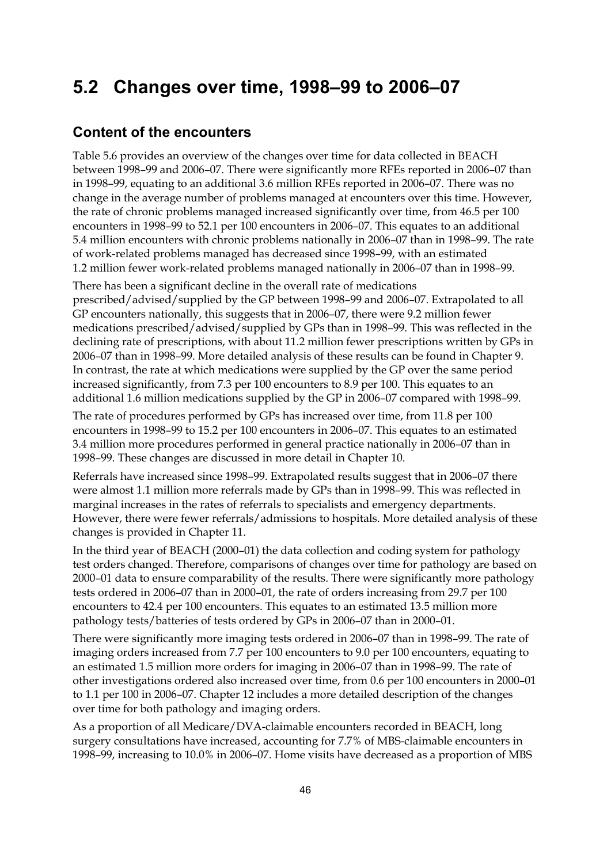# **5.2 Changes over time, 1998–99 to 2006–07**

## **Content of the encounters**

Table 5.6 provides an overview of the changes over time for data collected in BEACH between 1998–99 and 2006–07. There were significantly more RFEs reported in 2006–07 than in 1998–99, equating to an additional 3.6 million RFEs reported in 2006–07. There was no change in the average number of problems managed at encounters over this time. However, the rate of chronic problems managed increased significantly over time, from 46.5 per 100 encounters in 1998–99 to 52.1 per 100 encounters in 2006–07. This equates to an additional 5.4 million encounters with chronic problems nationally in 2006–07 than in 1998–99. The rate of work-related problems managed has decreased since 1998–99, with an estimated 1.2 million fewer work-related problems managed nationally in 2006–07 than in 1998–99.

There has been a significant decline in the overall rate of medications prescribed/advised/supplied by the GP between 1998–99 and 2006–07. Extrapolated to all GP encounters nationally, this suggests that in 2006–07, there were 9.2 million fewer medications prescribed/advised/supplied by GPs than in 1998–99. This was reflected in the declining rate of prescriptions, with about 11.2 million fewer prescriptions written by GPs in 2006–07 than in 1998–99. More detailed analysis of these results can be found in Chapter 9. In contrast, the rate at which medications were supplied by the GP over the same period increased significantly, from 7.3 per 100 encounters to 8.9 per 100. This equates to an additional 1.6 million medications supplied by the GP in 2006–07 compared with 1998–99.

The rate of procedures performed by GPs has increased over time, from 11.8 per 100 encounters in 1998–99 to 15.2 per 100 encounters in 2006–07. This equates to an estimated 3.4 million more procedures performed in general practice nationally in 2006–07 than in 1998–99. These changes are discussed in more detail in Chapter 10.

Referrals have increased since 1998–99. Extrapolated results suggest that in 2006–07 there were almost 1.1 million more referrals made by GPs than in 1998–99. This was reflected in marginal increases in the rates of referrals to specialists and emergency departments. However, there were fewer referrals/admissions to hospitals. More detailed analysis of these changes is provided in Chapter 11.

In the third year of BEACH (2000–01) the data collection and coding system for pathology test orders changed. Therefore, comparisons of changes over time for pathology are based on 2000–01 data to ensure comparability of the results. There were significantly more pathology tests ordered in 2006–07 than in 2000–01, the rate of orders increasing from 29.7 per 100 encounters to 42.4 per 100 encounters. This equates to an estimated 13.5 million more pathology tests/batteries of tests ordered by GPs in 2006–07 than in 2000–01.

There were significantly more imaging tests ordered in 2006–07 than in 1998–99. The rate of imaging orders increased from 7.7 per 100 encounters to 9.0 per 100 encounters, equating to an estimated 1.5 million more orders for imaging in 2006–07 than in 1998–99. The rate of other investigations ordered also increased over time, from 0.6 per 100 encounters in 2000–01 to 1.1 per 100 in 2006–07. Chapter 12 includes a more detailed description of the changes over time for both pathology and imaging orders.

As a proportion of all Medicare/DVA-claimable encounters recorded in BEACH, long surgery consultations have increased, accounting for 7.7% of MBS-claimable encounters in 1998–99, increasing to 10.0% in 2006–07. Home visits have decreased as a proportion of MBS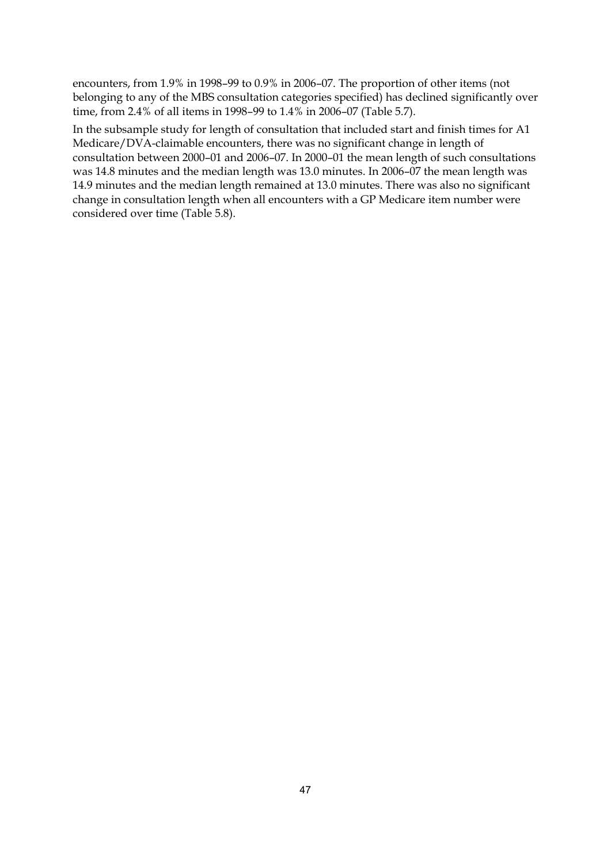encounters, from 1.9% in 1998–99 to 0.9% in 2006–07. The proportion of other items (not belonging to any of the MBS consultation categories specified) has declined significantly over time, from 2.4% of all items in 1998–99 to 1.4% in 2006–07 (Table 5.7).

In the subsample study for length of consultation that included start and finish times for A1 Medicare/DVA-claimable encounters, there was no significant change in length of consultation between 2000–01 and 2006–07. In 2000–01 the mean length of such consultations was 14.8 minutes and the median length was 13.0 minutes. In 2006–07 the mean length was 14.9 minutes and the median length remained at 13.0 minutes. There was also no significant change in consultation length when all encounters with a GP Medicare item number were considered over time (Table 5.8).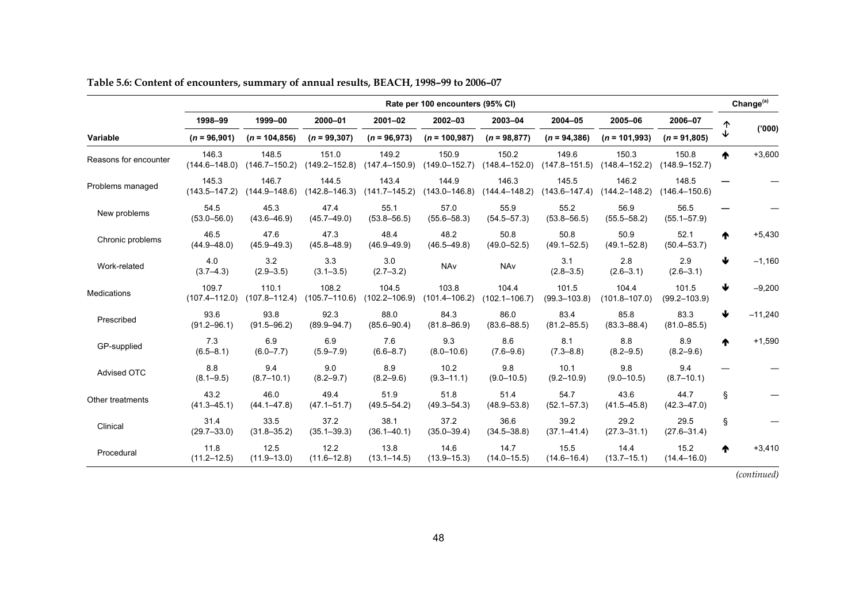|                       |                            | Rate per 100 encounters (95% CI) |                            |                            |                            |                            |                            |                            |                            |   |           |  |
|-----------------------|----------------------------|----------------------------------|----------------------------|----------------------------|----------------------------|----------------------------|----------------------------|----------------------------|----------------------------|---|-----------|--|
|                       | 1998-99                    | 1999-00                          | 2000-01                    | $2001 - 02$                | $2002 - 03$                | 2003-04                    | 2004-05                    | 2005-06                    | 2006-07                    |   |           |  |
| Variable              | $(n = 96,901)$             | $(n = 104, 856)$                 | $(n = 99, 307)$            | $(n = 96,973)$             | $(n = 100, 987)$           | $(n = 98,877)$             | $(n = 94, 386)$            | $(n = 101,993)$            | $(n = 91,805)$             | ↓ | (000)'    |  |
| Reasons for encounter | 146.3<br>$(144.6 - 148.0)$ | 148.5<br>$(146.7 - 150.2)$       | 151.0<br>$(149.2 - 152.8)$ | 149.2<br>$(147.4 - 150.9)$ | 150.9<br>$(149.0 - 152.7)$ | 150.2<br>$(148.4 - 152.0)$ | 149.6<br>$(147.8 - 151.5)$ | 150.3<br>$(148.4 - 152.2)$ | 150.8<br>$(148.9 - 152.7)$ | ♠ | $+3,600$  |  |
| Problems managed      | 145.3<br>$(143.5 - 147.2)$ | 146.7<br>$(144.9 - 148.6)$       | 144.5<br>$(142.8 - 146.3)$ | 143.4<br>(141.7–145.2)     | 144.9<br>$(143.0 - 146.8)$ | 146.3<br>$(144.4 - 148.2)$ | 145.5<br>$(143.6 - 147.4)$ | 146.2<br>$(144.2 - 148.2)$ | 148.5<br>$(146.4 - 150.6)$ |   |           |  |
| New problems          | 54.5<br>$(53.0 - 56.0)$    | 45.3<br>$(43.6 - 46.9)$          | 47.4<br>$(45.7 - 49.0)$    | 55.1<br>$(53.8 - 56.5)$    | 57.0<br>$(55.6 - 58.3)$    | 55.9<br>$(54.5 - 57.3)$    | 55.2<br>$(53.8 - 56.5)$    | 56.9<br>$(55.5 - 58.2)$    | 56.5<br>$(55.1 - 57.9)$    |   |           |  |
| Chronic problems      | 46.5<br>$(44.9 - 48.0)$    | 47.6<br>$(45.9 - 49.3)$          | 47.3<br>$(45.8 - 48.9)$    | 48.4<br>$(46.9 - 49.9)$    | 48.2<br>$(46.5 - 49.8)$    | 50.8<br>$(49.0 - 52.5)$    | 50.8<br>$(49.1 - 52.5)$    | 50.9<br>$(49.1 - 52.8)$    | 52.1<br>$(50.4 - 53.7)$    | ♠ | $+5,430$  |  |
| Work-related          | 4.0<br>$(3.7 - 4.3)$       | 3.2<br>$(2.9 - 3.5)$             | 3.3<br>$(3.1 - 3.5)$       | 3.0<br>$(2.7 - 3.2)$       | NAv                        | NAv                        | 3.1<br>$(2.8 - 3.5)$       | 2.8<br>$(2.6 - 3.1)$       | 2.9<br>$(2.6 - 3.1)$       | Ψ | $-1,160$  |  |
| Medications           | 109.7<br>$(107.4 - 112.0)$ | 110.1<br>$(107.8 - 112.4)$       | 108.2<br>$(105.7 - 110.6)$ | 104.5<br>$(102.2 - 106.9)$ | 103.8<br>$(101.4 - 106.2)$ | 104.4<br>$(102.1 - 106.7)$ | 101.5<br>$(99.3 - 103.8)$  | 104.4<br>$(101.8 - 107.0)$ | 101.5<br>$(99.2 - 103.9)$  | ₩ | $-9,200$  |  |
| Prescribed            | 93.6<br>$(91.2 - 96.1)$    | 93.8<br>$(91.5 - 96.2)$          | 92.3<br>$(89.9 - 94.7)$    | 88.0<br>$(85.6 - 90.4)$    | 84.3<br>$(81.8 - 86.9)$    | 86.0<br>$(83.6 - 88.5)$    | 83.4<br>$(81.2 - 85.5)$    | 85.8<br>$(83.3 - 88.4)$    | 83.3<br>$(81.0 - 85.5)$    |   | $-11,240$ |  |
| GP-supplied           | 7.3<br>$(6.5 - 8.1)$       | 6.9<br>$(6.0 - 7.7)$             | 6.9<br>$(5.9 - 7.9)$       | 7.6<br>$(6.6 - 8.7)$       | 9.3<br>$(8.0 - 10.6)$      | 8.6<br>$(7.6 - 9.6)$       | 8.1<br>$(7.3 - 8.8)$       | 8.8<br>$(8.2 - 9.5)$       | 8.9<br>$(8.2 - 9.6)$       | ♠ | $+1,590$  |  |
| Advised OTC           | 8.8<br>$(8.1 - 9.5)$       | 9.4<br>$(8.7 - 10.1)$            | 9.0<br>$(8.2 - 9.7)$       | 8.9<br>$(8.2 - 9.6)$       | 10.2<br>$(9.3 - 11.1)$     | 9.8<br>$(9.0 - 10.5)$      | 10.1<br>$(9.2 - 10.9)$     | 9.8<br>$(9.0 - 10.5)$      | 9.4<br>$(8.7 - 10.1)$      |   |           |  |
| Other treatments      | 43.2<br>$(41.3 - 45.1)$    | 46.0<br>$(44.1 - 47.8)$          | 49.4<br>$(47.1 - 51.7)$    | 51.9<br>$(49.5 - 54.2)$    | 51.8<br>$(49.3 - 54.3)$    | 51.4<br>$(48.9 - 53.8)$    | 54.7<br>$(52.1 - 57.3)$    | 43.6<br>$(41.5 - 45.8)$    | 44.7<br>$(42.3 - 47.0)$    | ş |           |  |
| Clinical              | 31.4<br>$(29.7 - 33.0)$    | 33.5<br>$(31.8 - 35.2)$          | 37.2<br>$(35.1 - 39.3)$    | 38.1<br>$(36.1 - 40.1)$    | 37.2<br>$(35.0 - 39.4)$    | 36.6<br>$(34.5 - 38.8)$    | 39.2<br>$(37.1 - 41.4)$    | 29.2<br>$(27.3 - 31.1)$    | 29.5<br>$(27.6 - 31.4)$    | § |           |  |
| Procedural            | 11.8<br>$(11.2 - 12.5)$    | 12.5<br>$(11.9 - 13.0)$          | 12.2<br>$(11.6 - 12.8)$    | 13.8<br>$(13.1 - 14.5)$    | 14.6<br>$(13.9 - 15.3)$    | 14.7<br>$(14.0 - 15.5)$    | 15.5<br>$(14.6 - 16.4)$    | 14.4<br>$(13.7 - 15.1)$    | 15.2<br>$(14.4 - 16.0)$    | ♠ | $+3,410$  |  |

**Table 5.6: Content of encounters, summary of annual results, BEACH, 1998–99 to 2006–07** 

*(continued)*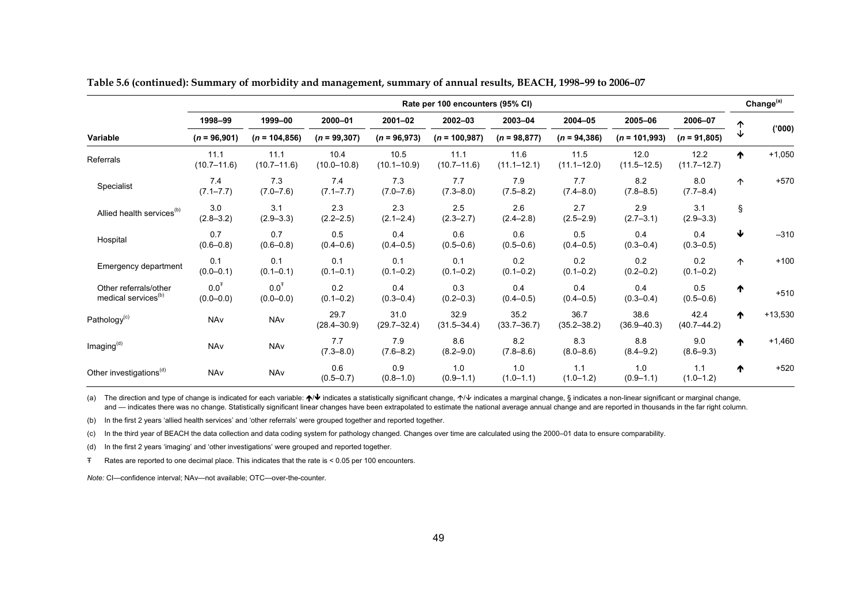|                                                          |                                   |                                   |                         |                         | Rate per 100 encounters (95% CI) |                         |                         |                         |                         |                 | Change <sup>(a)</sup> |
|----------------------------------------------------------|-----------------------------------|-----------------------------------|-------------------------|-------------------------|----------------------------------|-------------------------|-------------------------|-------------------------|-------------------------|-----------------|-----------------------|
|                                                          | 1998-99                           | 1999-00                           | 2000-01                 | $2001 - 02$             | 2002-03                          | 2003-04                 | 2004-05                 | 2005-06                 | 2006-07                 | ↑               |                       |
| Variable                                                 | $(n = 96,901)$                    | $(n = 104, 856)$                  | $(n = 99, 307)$         | $(n = 96,973)$          | $(n = 100, 987)$                 | $(n = 98,877)$          | $(n = 94, 386)$         | $(n = 101,993)$         | $(n = 91,805)$          | ↓               | (000)                 |
| Referrals                                                | 11.1<br>$(10.7 - 11.6)$           | 11.1<br>$(10.7 - 11.6)$           | 10.4<br>$(10.0 - 10.8)$ | 10.5<br>$(10.1 - 10.9)$ | 11.1<br>$(10.7 - 11.6)$          | 11.6<br>$(11.1 - 12.1)$ | 11.5<br>$(11.1 - 12.0)$ | 12.0<br>$(11.5 - 12.5)$ | 12.2<br>$(11.7 - 12.7)$ | ᠰ               | $+1,050$              |
| Specialist                                               | 7.4<br>$(7.1 - 7.7)$              | 7.3<br>$(7.0 - 7.6)$              | 7.4<br>$(7.1 - 7.7)$    | 7.3<br>$(7.0 - 7.6)$    | 7.7<br>$(7.3 - 8.0)$             | 7.9<br>$(7.5 - 8.2)$    | 7.7<br>$(7.4 - 8.0)$    | 8.2<br>$(7.8 - 8.5)$    | 8.0<br>$(7.7 - 8.4)$    | 个               | $+570$                |
| Allied health services <sup>(b)</sup>                    | 3.0<br>$(2.8 - 3.2)$              | 3.1<br>$(2.9 - 3.3)$              | 2.3<br>$(2.2 - 2.5)$    | 2.3<br>$(2.1 - 2.4)$    | 2.5<br>$(2.3 - 2.7)$             | 2.6<br>$(2.4 - 2.8)$    | 2.7<br>$(2.5 - 2.9)$    | 2.9<br>$(2.7 - 3.1)$    | 3.1<br>$(2.9 - 3.3)$    | Ş               |                       |
| Hospital                                                 | 0.7<br>$(0.6 - 0.8)$              | 0.7<br>$(0.6 - 0.8)$              | 0.5<br>$(0.4 - 0.6)$    | 0.4<br>$(0.4 - 0.5)$    | 0.6<br>$(0.5 - 0.6)$             | 0.6<br>$(0.5 - 0.6)$    | 0.5<br>$(0.4 - 0.5)$    | 0.4<br>$(0.3 - 0.4)$    | 0.4<br>$(0.3 - 0.5)$    | ₩               | $-310$                |
| Emergency department                                     | 0.1<br>$(0.0 - 0.1)$              | 0.1<br>$(0.1 - 0.1)$              | 0.1<br>$(0.1 - 0.1)$    | 0.1<br>$(0.1 - 0.2)$    | 0.1<br>$(0.1 - 0.2)$             | 0.2<br>$(0.1 - 0.2)$    | 0.2<br>$(0.1 - 0.2)$    | 0.2<br>$(0.2 - 0.2)$    | 0.2<br>$(0.1 - 0.2)$    | 个               | $+100$                |
| Other referrals/other<br>medical services <sup>(b)</sup> | 0.0 <sup>T</sup><br>$(0.0 - 0.0)$ | 0.0 <sup>T</sup><br>$(0.0 - 0.0)$ | 0.2<br>$(0.1 - 0.2)$    | 0.4<br>$(0.3 - 0.4)$    | 0.3<br>$(0.2 - 0.3)$             | 0.4<br>$(0.4 - 0.5)$    | 0.4<br>$(0.4 - 0.5)$    | 0.4<br>$(0.3 - 0.4)$    | 0.5<br>$(0.5 - 0.6)$    | ♠               | $+510$                |
| Pathology <sup>(c)</sup>                                 | NAv                               | NAv                               | 29.7<br>$(28.4 - 30.9)$ | 31.0<br>$(29.7 - 32.4)$ | 32.9<br>$(31.5 - 34.4)$          | 35.2<br>$(33.7 - 36.7)$ | 36.7<br>$(35.2 - 38.2)$ | 38.6<br>$(36.9 - 40.3)$ | 42.4<br>$(40.7 - 44.2)$ | ↑               | $+13,530$             |
| Imaging <sup>(d)</sup>                                   | <b>NAv</b>                        | NAv                               | 7.7<br>$(7.3 - 8.0)$    | 79<br>$(7.6 - 8.2)$     | 8.6<br>$(8.2 - 9.0)$             | 8.2<br>$(7.8 - 8.6)$    | 8.3<br>$(8.0 - 8.6)$    | 8.8<br>$(8.4 - 9.2)$    | 9.0<br>$(8.6 - 9.3)$    | $\blacklozenge$ | $+1,460$              |
| Other investigations <sup>(d)</sup>                      | NAv                               | NAv                               | 0.6<br>$(0.5 - 0.7)$    | 0.9<br>$(0.8 - 1.0)$    | 1.0<br>$(0.9 - 1.1)$             | 1.0<br>$(1.0 - 1.1)$    | 1.1<br>$(1.0 - 1.2)$    | 1.0<br>$(0.9 - 1.1)$    | 1.1<br>$(1.0 - 1.2)$    | ᠰ               | $+520$                |

**Table 5.6 (continued): Summary of morbidity and management, summary of annual results, BEACH, 1998–99 to 2006–07** 

(a) The direction and type of change is indicated for each variable:  $\bigwedge\blacklozenge$  indicates a statistically significant change,  $\uparrow\blacklozenge$  indicates a marginal change, § indicates a non-linear significant or marginal chang and — indicates there was no change. Statistically significant linear changes have been extrapolated to estimate the national average annual change and are reported in thousands in the far right column.

(b) In the first 2 years 'allied health services' and 'other referrals' were grouped together and reported together.

(c) In the third year of BEACH the data collection and data coding system for pathology changed. Changes over time are calculated using the 2000–01 data to ensure comparability.

(d) In the first 2 years 'imaging' and 'other investigations' were grouped and reported together.

Ŧ Rates are reported to one decimal place. This indicates that the rate is < 0.05 per 100 encounters.

*Note:* CI—confidence interval; NAv—not available; OTC—over-the-counter.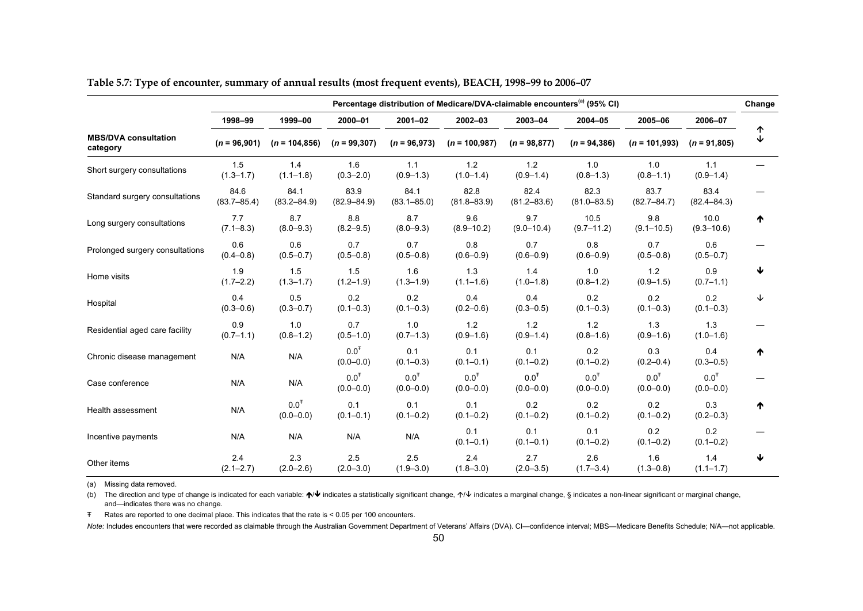|                                         | Percentage distribution of Medicare/DVA-claimable encounters <sup>(a)</sup> (95% CI) |                                   |                                   |                                   |                                   |                                   |                                   |                                   |                                   |        |  |  |
|-----------------------------------------|--------------------------------------------------------------------------------------|-----------------------------------|-----------------------------------|-----------------------------------|-----------------------------------|-----------------------------------|-----------------------------------|-----------------------------------|-----------------------------------|--------|--|--|
|                                         | 1998-99                                                                              | 1999-00                           | 2000-01                           | $2001 - 02$                       | $2002 - 03$                       | 2003-04                           | 2004-05                           | 2005-06                           | 2006-07                           |        |  |  |
| <b>MBS/DVA consultation</b><br>category | $(n = 96,901)$                                                                       | $(n = 104, 856)$                  | $(n = 99, 307)$                   | $(n = 96,973)$                    | $(n = 100, 987)$                  | $(n = 98, 877)$                   | $(n = 94, 386)$                   | $(n = 101,993)$                   | $(n = 91,805)$                    | ↑<br>↓ |  |  |
| Short surgery consultations             | 1.5<br>$(1.3 - 1.7)$                                                                 | 1.4<br>$(1.1 - 1.8)$              | 1.6<br>$(0.3 - 2.0)$              | 1.1<br>$(0.9 - 1.3)$              | 1.2<br>$(1.0 - 1.4)$              | 1.2<br>$(0.9 - 1.4)$              | 1.0<br>$(0.8 - 1.3)$              | 1.0<br>$(0.8 - 1.1)$              | 1.1<br>$(0.9 - 1.4)$              |        |  |  |
| Standard surgery consultations          | 84.6<br>$(83.7 - 85.4)$                                                              | 84.1<br>$(83.2 - 84.9)$           | 83.9<br>$(82.9 - 84.9)$           | 84.1<br>$(83.1 - 85.0)$           | 82.8<br>$(81.8 - 83.9)$           | 82.4<br>$(81.2 - 83.6)$           | 82.3<br>$(81.0 - 83.5)$           | 83.7<br>$(82.7 - 84.7)$           | 83.4<br>$(82.4 - 84.3)$           |        |  |  |
| Long surgery consultations              | 7.7<br>$(7.1 - 8.3)$                                                                 | 8.7<br>$(8.0 - 9.3)$              | 8.8<br>$(8.2 - 9.5)$              | 8.7<br>$(8.0 - 9.3)$              | 9.6<br>$(8.9 - 10.2)$             | 9.7<br>$(9.0 - 10.4)$             | 10.5<br>$(9.7 - 11.2)$            | 9.8<br>$(9.1 - 10.5)$             | 10.0<br>$(9.3 - 10.6)$            | ₼      |  |  |
| Prolonged surgery consultations         | 0.6<br>$(0.4 - 0.8)$                                                                 | 0.6<br>$(0.5 - 0.7)$              | 0.7<br>$(0.5 - 0.8)$              | 0.7<br>$(0.5 - 0.8)$              | 0.8<br>$(0.6 - 0.9)$              | 0.7<br>$(0.6 - 0.9)$              | 0.8<br>$(0.6 - 0.9)$              | 0.7<br>$(0.5 - 0.8)$              | 0.6<br>$(0.5 - 0.7)$              |        |  |  |
| Home visits                             | 1.9<br>$(1.7 - 2.2)$                                                                 | 1.5<br>$(1.3 - 1.7)$              | 1.5<br>$(1.2 - 1.9)$              | 1.6<br>$(1.3 - 1.9)$              | 1.3<br>$(1.1 - 1.6)$              | 1.4<br>$(1.0 - 1.8)$              | 1.0<br>$(0.8 - 1.2)$              | 1.2<br>$(0.9 - 1.5)$              | 0.9<br>$(0.7 - 1.1)$              | ₩      |  |  |
| Hospital                                | 0.4<br>$(0.3 - 0.6)$                                                                 | 0.5<br>$(0.3 - 0.7)$              | 0.2<br>$(0.1 - 0.3)$              | 0.2<br>$(0.1 - 0.3)$              | 0.4<br>$(0.2 - 0.6)$              | 0.4<br>$(0.3 - 0.5)$              | 0.2<br>$(0.1 - 0.3)$              | 0.2<br>$(0.1 - 0.3)$              | 0.2<br>$(0.1 - 0.3)$              | ↓      |  |  |
| Residential aged care facility          | 0.9<br>$(0.7 - 1.1)$                                                                 | 1.0<br>$(0.8 - 1.2)$              | 0.7<br>$(0.5 - 1.0)$              | 1.0<br>$(0.7 - 1.3)$              | 1.2<br>$(0.9 - 1.6)$              | 1.2<br>$(0.9 - 1.4)$              | 1.2<br>$(0.8 - 1.6)$              | 1.3<br>$(0.9 - 1.6)$              | 1.3<br>$(1.0 - 1.6)$              |        |  |  |
| Chronic disease management              | N/A                                                                                  | N/A                               | 0.0 <sup>T</sup><br>$(0.0 - 0.0)$ | 0.1<br>$(0.1 - 0.3)$              | 0.1<br>$(0.1 - 0.1)$              | 0.1<br>$(0.1 - 0.2)$              | 0.2<br>$(0.1 - 0.2)$              | 0.3<br>$(0.2 - 0.4)$              | 0.4<br>$(0.3 - 0.5)$              | ₼      |  |  |
| Case conference                         | N/A                                                                                  | N/A                               | 0.0 <sup>T</sup><br>$(0.0 - 0.0)$ | 0.0 <sup>T</sup><br>$(0.0 - 0.0)$ | 0.0 <sup>T</sup><br>$(0.0 - 0.0)$ | 0.0 <sup>T</sup><br>$(0.0 - 0.0)$ | 0.0 <sup>T</sup><br>$(0.0 - 0.0)$ | 0.0 <sup>T</sup><br>$(0.0 - 0.0)$ | 0.0 <sup>T</sup><br>$(0.0 - 0.0)$ |        |  |  |
| Health assessment                       | N/A                                                                                  | 0.0 <sup>T</sup><br>$(0.0 - 0.0)$ | 0.1<br>$(0.1 - 0.1)$              | 0.1<br>$(0.1 - 0.2)$              | 0.1<br>$(0.1 - 0.2)$              | 0.2<br>$(0.1 - 0.2)$              | 0.2<br>$(0.1 - 0.2)$              | 0.2<br>$(0.1 - 0.2)$              | 0.3<br>$(0.2 - 0.3)$              | ᠰ      |  |  |
| Incentive payments                      | N/A                                                                                  | N/A                               | N/A                               | N/A                               | 0.1<br>$(0.1 - 0.1)$              | 0.1<br>$(0.1 - 0.1)$              | 0.1<br>$(0.1 - 0.2)$              | 0.2<br>$(0.1 - 0.2)$              | 0.2<br>$(0.1 - 0.2)$              |        |  |  |
| Other items                             | 2.4<br>$(2.1 - 2.7)$                                                                 | 2.3<br>$(2.0 - 2.6)$              | 2.5<br>$(2.0 - 3.0)$              | 2.5<br>$(1.9 - 3.0)$              | 2.4<br>$(1.8 - 3.0)$              | 2.7<br>$(2.0 - 3.5)$              | 2.6<br>$(1.7 - 3.4)$              | 1.6<br>$(1.3 - 0.8)$              | 1.4<br>$(1.1 - 1.7)$              | ↓      |  |  |

**Table 5.7: Type of encounter, summary of annual results (most frequent events), BEACH, 1998–99 to 2006–07** 

(a) Missing data removed.

(b) The direction and type of change is indicated for each variable:  $\uparrow/\downarrow$  indicates a statistically significant change,  $\uparrow/\downarrow$  indicates a marginal change, § indicates a non-linear significant or marginal change, and—indicates there was no change.

Ŧ Rates are reported to one decimal place. This indicates that the rate is < 0.05 per 100 encounters.

*Note:* Includes encounters that were recorded as claimable through the Australian Government Department of Veterans' Affairs (DVA). CI—confidence interval; MBS—Medicare Benefits Schedule; N/A—not applicable.